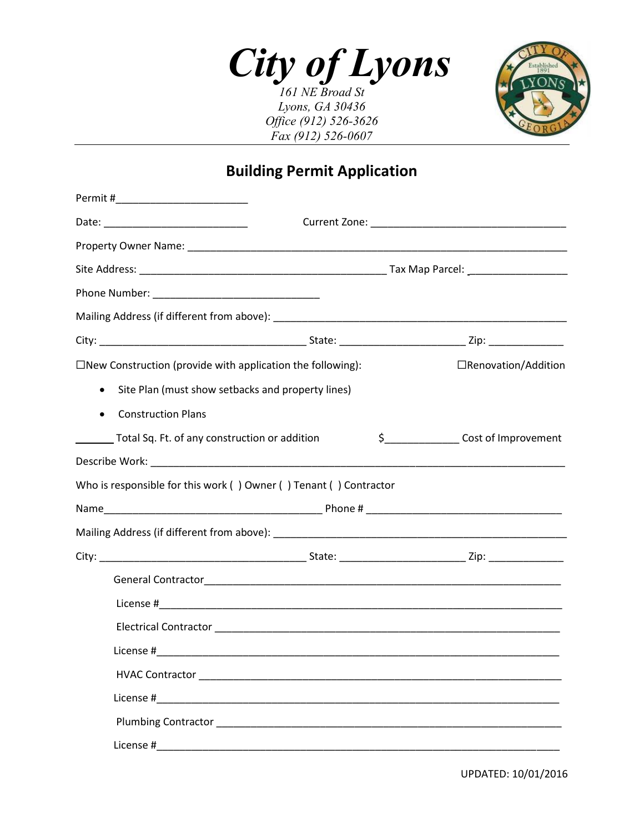*City of Lyons*

*161 NE Broad St Lyons, GA 30436 Office (912) 526-3626 Fax (912) 526-0607*



## **Building Permit Application**

| $\square$ New Construction (provide with application the following): |                                                                   | □Renovation/Addition                       |  |  |
|----------------------------------------------------------------------|-------------------------------------------------------------------|--------------------------------------------|--|--|
| $\bullet$                                                            | Site Plan (must show setbacks and property lines)                 |                                            |  |  |
| <b>Construction Plans</b>                                            |                                                                   |                                            |  |  |
| Total Sq. Ft. of any construction or addition                        |                                                                   | \$_____________________Cost of Improvement |  |  |
|                                                                      |                                                                   |                                            |  |  |
|                                                                      | Who is responsible for this work () Owner () Tenant () Contractor |                                            |  |  |
|                                                                      |                                                                   |                                            |  |  |
|                                                                      |                                                                   |                                            |  |  |
|                                                                      |                                                                   |                                            |  |  |
|                                                                      |                                                                   |                                            |  |  |
|                                                                      |                                                                   |                                            |  |  |
|                                                                      |                                                                   |                                            |  |  |
|                                                                      |                                                                   |                                            |  |  |
|                                                                      |                                                                   |                                            |  |  |
|                                                                      |                                                                   |                                            |  |  |
|                                                                      |                                                                   |                                            |  |  |
|                                                                      |                                                                   |                                            |  |  |
|                                                                      |                                                                   |                                            |  |  |

UPDATED: 10/01/2016